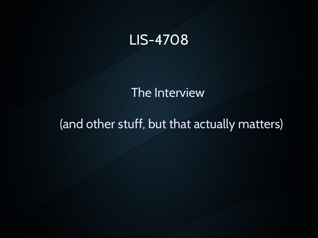#### LIS-4708

The Interview

#### (and other stuff, but that actually matters)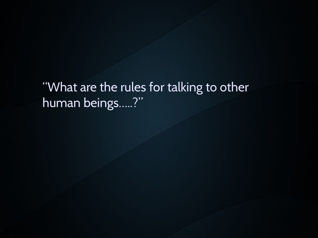"What are the rules for talking to other human beings.....?"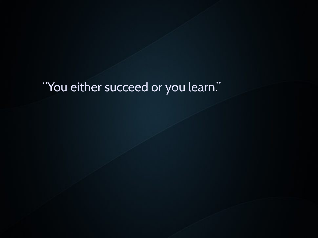#### "You either succeed or you learn."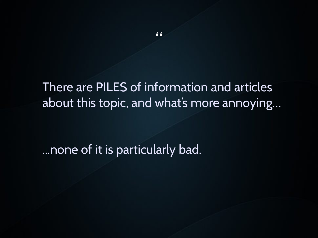#### There are PILES of information and articles about this topic, and what's more annoying…

...none of it is particularly bad.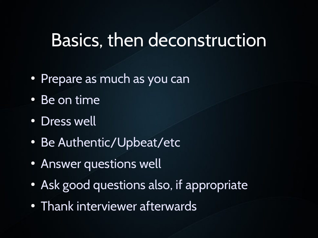### Basics, then deconstruction

- Prepare as much as you can
- $\bullet$  Be on time
- Dress well
- Be Authentic/Upbeat/etc
- Answer questions well
- Ask good questions also, if appropriate
- Thank interviewer afterwards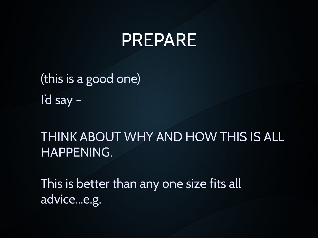#### PREPARE

(this is a good one) I'd say –

THINK ABOUT WHY AND HOW THIS IS ALL HAPPENING.

This is better than any one size fits all advice...e.g.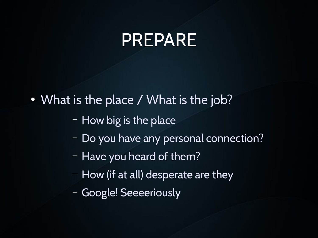### PREPARE

• What is the place / What is the job?

- How big is the place
- Do you have any personal connection?
- Have you heard of them?
- How (if at all) desperate are they
- Google! Seeeeriously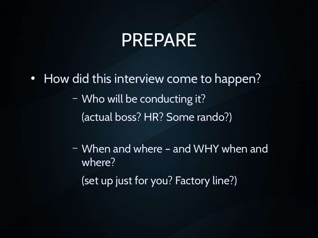### PREPARE

- How did this interview come to happen? – Who will be conducting it? (actual boss? HR? Some rando?)
	- When and where and WHY when and where? (set up just for you? Factory line?)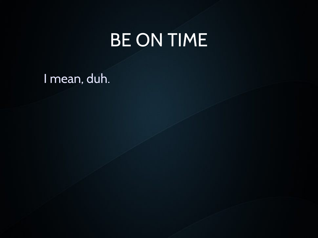### BE ON TIME

I mean, duh.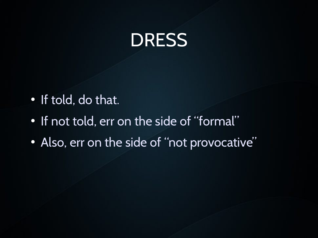## DRESS

- If told, do that.
- If not told, err on the side of "formal"
- Also, err on the side of "not provocative"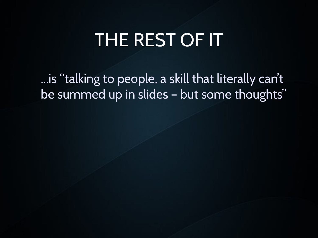## THE REST OF IT

...is "talking to people, a skill that literally can't be summed up in slides – but some thoughts"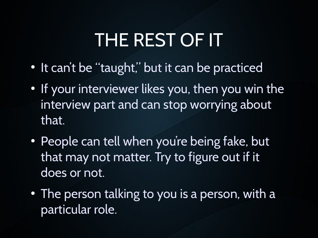# THE REST OF IT

- It can't be "taught," but it can be practiced
- If your interviewer likes you, then you win the interview part and can stop worrying about that.
- People can tell when you're being fake, but that may not matter. Try to figure out if it does or not.
- The person talking to you is a person, with a particular role.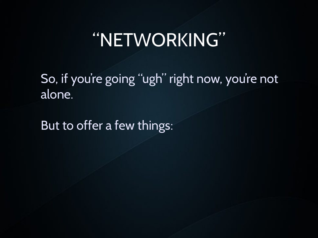So, if you're going "ugh" right now, you're not alone.

But to offer a few things: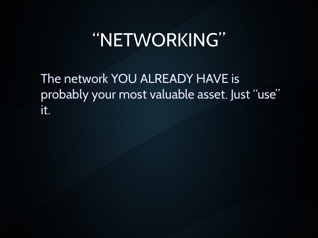The network YOU ALREADY HAVE is probably your most valuable asset. Just "use" it.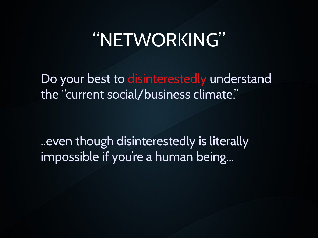Do your best to disinterestedly understand the "current social/business climate."

..even though disinterestedly is literally impossible if you're a human being...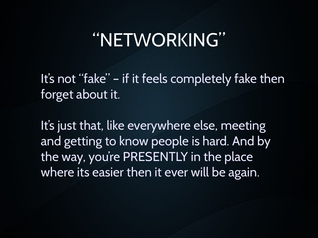It's not "fake" – if it feels completely fake then forget about it.

It's just that, like everywhere else, meeting and getting to know people is hard. And by the way, you're PRESENTLY in the place where its easier then it ever will be again.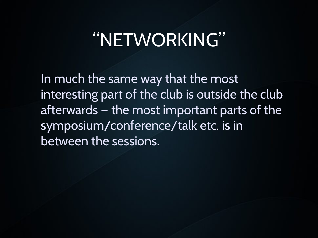In much the same way that the most interesting part of the club is outside the club afterwards — the most important parts of the symposium/conference/talk etc. is in between the sessions.